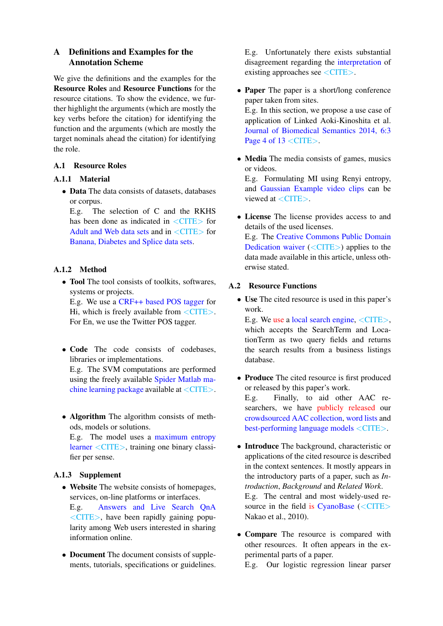# A Definitions and Examples for the Annotation Scheme

We give the definitions and the examples for the Resource Roles and Resource Functions for the resource citations. To show the evidence, we further highlight the arguments (which are mostly the key verbs before the citation) for identifying the function and the arguments (which are mostly the target nominals ahead the citation) for identifying the role.

## A.1 Resource Roles

#### A.1.1 Material

• Data The data consists of datasets, databases or corpus.

E.g. The selection of C and the RKHS has been done as indicated in  $\langle$  CITE $>$  for Adult and Web data sets and in <CITE> for Banana, Diabetes and Splice data sets.

## A.1.2 Method

• Tool The tool consists of toolkits, softwares, systems or projects.

E.g. We use a CRF++ based POS tagger for Hi, which is freely available from  $\langle$  CITE $>$ . For En, we use the Twitter POS tagger.

• Code The code consists of codebases, libraries or implementations.

E.g. The SVM computations are performed using the freely available Spider Matlab machine learning package available at <CITE>.

• Algorithm The algorithm consists of methods, models or solutions. E.g. The model uses a maximum entropy learner <CITE>, training one binary classifier per sense.

## A.1.3 Supplement

• Website The website consists of homepages, services, on-line platforms or interfaces. E.g. Answers and Live Search QnA

<CITE>, have been rapidly gaining popularity among Web users interested in sharing information online.

• Document The document consists of supplements, tutorials, specifications or guidelines. E.g. Unfortunately there exists substantial disagreement regarding the interpretation of existing approaches see  $\langle$  CITE>.

- **Paper** The paper is a short/long conference paper taken from sites. E.g. In this section, we propose a use case of application of Linked Aoki-Kinoshita et al. Journal of Biomedical Semantics 2014, 6:3 Page 4 of  $13 <$ CITE $>$ .
- Media The media consists of games, musics or videos.

E.g. Formulating MI using Renyi entropy, and Gaussian Example video clips can be viewed at  $\langle$  CITE $\rangle$ .

• License The license provides access to and details of the used licenses.

E.g. The Creative Commons Public Domain Dedication waiver (<CITE>) applies to the data made available in this article, unless otherwise stated.

#### A.2 Resource Functions

• Use The cited resource is used in this paper's work.

E.g. We use a local search engine, <CITE>, which accepts the SearchTerm and LocationTerm as two query fields and returns the search results from a business listings database.

- Produce The cited resource is first produced or released by this paper's work. E.g. Finally, to aid other AAC researchers, we have publicly released our crowdsourced AAC collection, word lists and best-performing language models <CITE>.
- Introduce The background, characteristic or applications of the cited resource is described in the context sentences. It mostly appears in the introductory parts of a paper, such as *Introduction*, *Background* and *Related Work*. E.g. The central and most widely-used resource in the field is CyanoBase  $(<$ CITE $>$ Nakao et al., 2010).
- Compare The resource is compared with other resources. It often appears in the experimental parts of a paper.

E.g. Our logistic regression linear parser